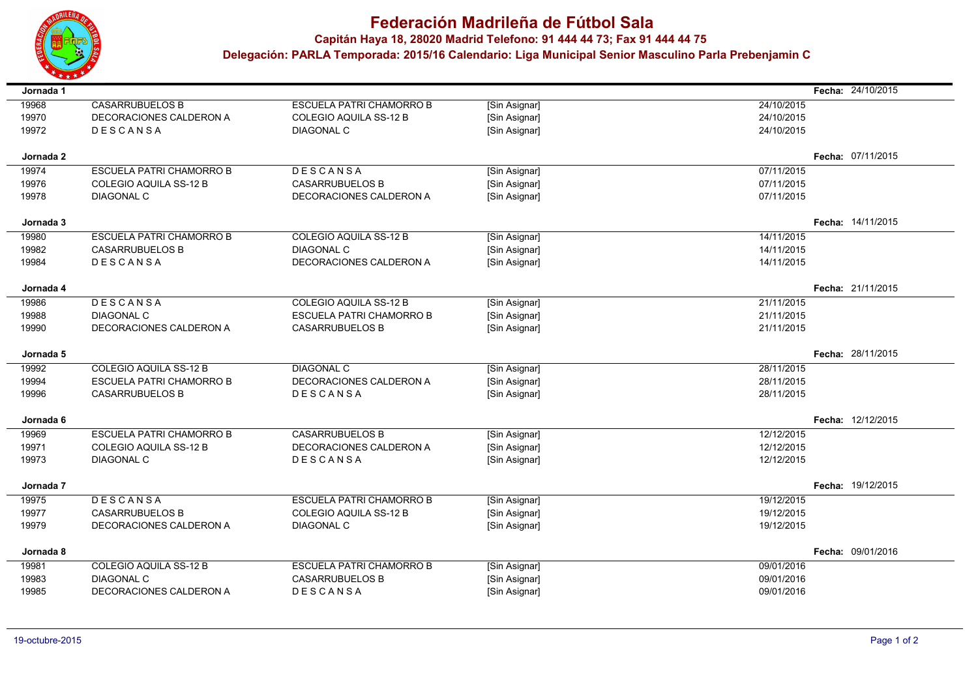

 $\blacksquare$ 

÷

 $\sim$ 

## **Federación Madrileña de Fútbol Sala**

**Capitán Haya 18, <sup>28020</sup> Madrid Telefono: 91 444 44 73; Fax 91 444 44 75**

 **Delegación: PARLA Temporada: 2015/16 Calendario: Liga Municipal Senior Masculino Parla Prebenjamin C**

| Jornada 1 |                                 |                                 |               |            | Fecha: 24/10/2015 |
|-----------|---------------------------------|---------------------------------|---------------|------------|-------------------|
| 19968     | <b>CASARRUBUELOS B</b>          | <b>ESCUELA PATRI CHAMORRO B</b> | [Sin Asignar] | 24/10/2015 |                   |
| 19970     | DECORACIONES CALDERON A         | COLEGIO AQUILA SS-12 B          | [Sin Asignar] | 24/10/2015 |                   |
| 19972     | <b>DESCANSA</b>                 | <b>DIAGONAL C</b>               | [Sin Asignar] | 24/10/2015 |                   |
|           |                                 |                                 |               |            |                   |
| Jornada 2 |                                 |                                 |               |            | Fecha: 07/11/2015 |
| 19974     | <b>ESCUELA PATRI CHAMORRO B</b> | DESCANSA                        | [Sin Asignar] | 07/11/2015 |                   |
| 19976     | COLEGIO AQUILA SS-12 B          | <b>CASARRUBUELOS B</b>          | [Sin Asignar] | 07/11/2015 |                   |
| 19978     | <b>DIAGONAL C</b>               | DECORACIONES CALDERON A         | [Sin Asignar] | 07/11/2015 |                   |
| Jornada 3 |                                 |                                 |               |            | Fecha: 14/11/2015 |
| 19980     | <b>ESCUELA PATRI CHAMORRO B</b> | COLEGIO AQUILA SS-12 B          | [Sin Asignar] | 14/11/2015 |                   |
| 19982     | <b>CASARRUBUELOS B</b>          | <b>DIAGONAL C</b>               | [Sin Asignar] | 14/11/2015 |                   |
| 19984     | DESCANSA                        | DECORACIONES CALDERON A         | [Sin Asignar] | 14/11/2015 |                   |
|           |                                 |                                 |               |            |                   |
| Jornada 4 |                                 |                                 |               |            | Fecha: 21/11/2015 |
| 19986     | DESCANSA                        | COLEGIO AQUILA SS-12 B          | [Sin Asignar] | 21/11/2015 |                   |
| 19988     | <b>DIAGONAL C</b>               | <b>ESCUELA PATRI CHAMORRO B</b> | [Sin Asignar] | 21/11/2015 |                   |
| 19990     | DECORACIONES CALDERON A         | <b>CASARRUBUELOS B</b>          | [Sin Asignar] | 21/11/2015 |                   |
|           |                                 |                                 |               |            | Fecha: 28/11/2015 |
| Jornada 5 |                                 |                                 |               |            |                   |
| 19992     | <b>COLEGIO AQUILA SS-12 B</b>   | <b>DIAGONAL C</b>               | [Sin Asignar] | 28/11/2015 |                   |
| 19994     | <b>ESCUELA PATRI CHAMORRO B</b> | DECORACIONES CALDERON A         | [Sin Asignar] | 28/11/2015 |                   |
| 19996     | <b>CASARRUBUELOS B</b>          | DESCANSA                        | [Sin Asignar] | 28/11/2015 |                   |
| Jornada 6 |                                 |                                 |               |            | Fecha: 12/12/2015 |
| 19969     | ESCUELA PATRI CHAMORRO B        | <b>CASARRUBUELOS B</b>          | [Sin Asignar] | 12/12/2015 |                   |
| 19971     | COLEGIO AQUILA SS-12 B          | DECORACIONES CALDERON A         | [Sin Asignar] | 12/12/2015 |                   |
| 19973     | <b>DIAGONAL C</b>               | DESCANSA                        | [Sin Asignar] | 12/12/2015 |                   |
| Jornada 7 |                                 |                                 |               |            | Fecha: 19/12/2015 |
| 19975     | <b>DESCANSA</b>                 | <b>ESCUELA PATRI CHAMORRO B</b> | [Sin Asignar] | 19/12/2015 |                   |
| 19977     | <b>CASARRUBUELOS B</b>          | COLEGIO AQUILA SS-12 B          | [Sin Asignar] | 19/12/2015 |                   |
| 19979     | DECORACIONES CALDERON A         | <b>DIAGONAL C</b>               | [Sin Asignar] | 19/12/2015 |                   |
|           |                                 |                                 |               |            |                   |
| Jornada 8 |                                 |                                 |               |            | Fecha: 09/01/2016 |
| 19981     | <b>COLEGIO AQUILA SS-12 B</b>   | <b>ESCUELA PATRI CHAMORRO B</b> | [Sin Asignar] | 09/01/2016 |                   |
| 19983     | <b>DIAGONAL C</b>               | <b>CASARRUBUELOS B</b>          | [Sin Asignar] | 09/01/2016 |                   |
| 19985     | DECORACIONES CALDERON A         | DESCANSA                        | [Sin Asignar] | 09/01/2016 |                   |